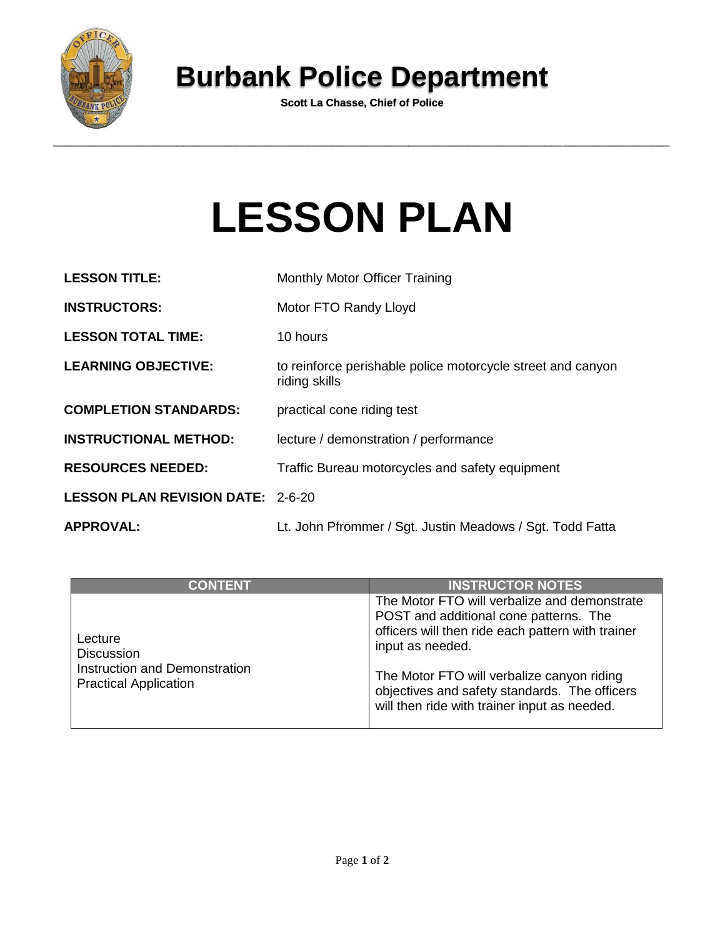

## **Burbank Police Department**

**Scott La Chasse, Chief of Police**

## **LESSON PLAN**

| <b>LESSON TITLE:</b>                     | <b>Monthly Motor Officer Training</b>                                        |
|------------------------------------------|------------------------------------------------------------------------------|
| <b>INSTRUCTORS:</b>                      | Motor FTO Randy Lloyd                                                        |
| <b>LESSON TOTAL TIME:</b>                | 10 hours                                                                     |
| <b>LEARNING OBJECTIVE:</b>               | to reinforce perishable police motorcycle street and canyon<br>riding skills |
| <b>COMPLETION STANDARDS:</b>             | practical cone riding test                                                   |
| <b>INSTRUCTIONAL METHOD:</b>             | lecture / demonstration / performance                                        |
| <b>RESOURCES NEEDED:</b>                 | Traffic Bureau motorcycles and safety equipment                              |
| <b>LESSON PLAN REVISION DATE: 2-6-20</b> |                                                                              |
| <b>APPROVAL:</b>                         | Lt. John Pfrommer / Sgt. Justin Meadows / Sgt. Todd Fatta                    |

| <b>CONTENT</b>                                                                                | <b>INSTRUCTOR NOTES</b>                                                                                                                                                                                                                                                                                        |
|-----------------------------------------------------------------------------------------------|----------------------------------------------------------------------------------------------------------------------------------------------------------------------------------------------------------------------------------------------------------------------------------------------------------------|
| Lecture<br><b>Discussion</b><br>Instruction and Demonstration<br><b>Practical Application</b> | The Motor FTO will verbalize and demonstrate<br>POST and additional cone patterns. The<br>officers will then ride each pattern with trainer<br>input as needed.<br>The Motor FTO will verbalize canyon riding<br>objectives and safety standards. The officers<br>will then ride with trainer input as needed. |